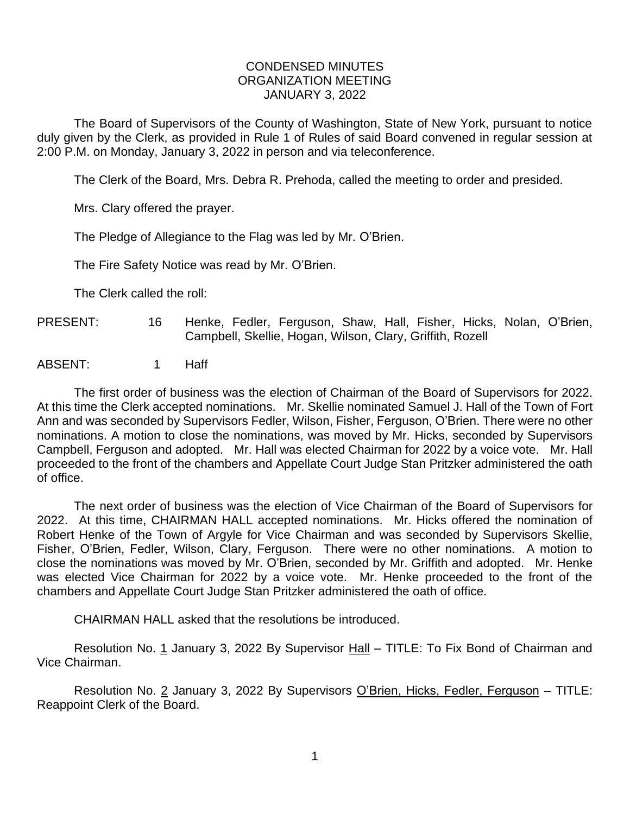## CONDENSED MINUTES ORGANIZATION MEETING JANUARY 3, 2022

The Board of Supervisors of the County of Washington, State of New York, pursuant to notice duly given by the Clerk, as provided in Rule 1 of Rules of said Board convened in regular session at 2:00 P.M. on Monday, January 3, 2022 in person and via teleconference.

The Clerk of the Board, Mrs. Debra R. Prehoda, called the meeting to order and presided.

Mrs. Clary offered the prayer.

The Pledge of Allegiance to the Flag was led by Mr. O'Brien.

The Fire Safety Notice was read by Mr. O'Brien.

The Clerk called the roll:

- PRESENT: 16 Henke, Fedler, Ferguson, Shaw, Hall, Fisher, Hicks, Nolan, O'Brien, Campbell, Skellie, Hogan, Wilson, Clary, Griffith, Rozell
- ABSENT: 1 Haff

The first order of business was the election of Chairman of the Board of Supervisors for 2022. At this time the Clerk accepted nominations. Mr. Skellie nominated Samuel J. Hall of the Town of Fort Ann and was seconded by Supervisors Fedler, Wilson, Fisher, Ferguson, O'Brien. There were no other nominations. A motion to close the nominations, was moved by Mr. Hicks, seconded by Supervisors Campbell, Ferguson and adopted. Mr. Hall was elected Chairman for 2022 by a voice vote. Mr. Hall proceeded to the front of the chambers and Appellate Court Judge Stan Pritzker administered the oath of office.

The next order of business was the election of Vice Chairman of the Board of Supervisors for 2022. At this time, CHAIRMAN HALL accepted nominations. Mr. Hicks offered the nomination of Robert Henke of the Town of Argyle for Vice Chairman and was seconded by Supervisors Skellie, Fisher, O'Brien, Fedler, Wilson, Clary, Ferguson. There were no other nominations. A motion to close the nominations was moved by Mr. O'Brien, seconded by Mr. Griffith and adopted. Mr. Henke was elected Vice Chairman for 2022 by a voice vote. Mr. Henke proceeded to the front of the chambers and Appellate Court Judge Stan Pritzker administered the oath of office.

CHAIRMAN HALL asked that the resolutions be introduced.

Resolution No. 1 January 3, 2022 By Supervisor Hall – TITLE: To Fix Bond of Chairman and Vice Chairman.

Resolution No. 2 January 3, 2022 By Supervisors O'Brien, Hicks, Fedler, Ferguson - TITLE: Reappoint Clerk of the Board.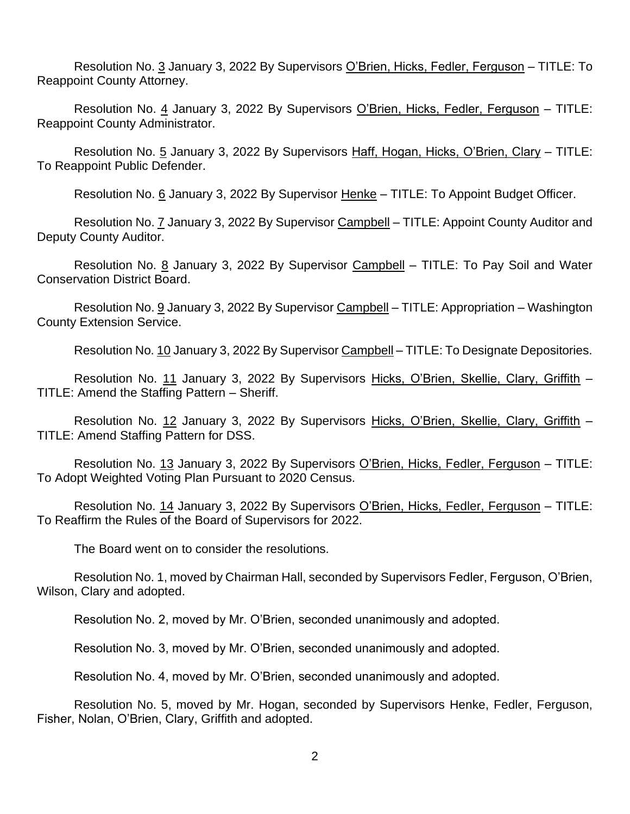Resolution No. 3 January 3, 2022 By Supervisors O'Brien, Hicks, Fedler, Ferguson - TITLE: To Reappoint County Attorney.

Resolution No. 4 January 3, 2022 By Supervisors O'Brien, Hicks, Fedler, Ferguson - TITLE: Reappoint County Administrator.

Resolution No. 5 January 3, 2022 By Supervisors Haff, Hogan, Hicks, O'Brien, Clary – TITLE: To Reappoint Public Defender.

Resolution No. 6 January 3, 2022 By Supervisor Henke – TITLE: To Appoint Budget Officer.

Resolution No. 7 January 3, 2022 By Supervisor Campbell – TITLE: Appoint County Auditor and Deputy County Auditor.

Resolution No. 8 January 3, 2022 By Supervisor Campbell - TITLE: To Pay Soil and Water Conservation District Board.

Resolution No. 9 January 3, 2022 By Supervisor Campbell – TITLE: Appropriation – Washington County Extension Service.

Resolution No. 10 January 3, 2022 By Supervisor Campbell - TITLE: To Designate Depositories.

Resolution No. 11 January 3, 2022 By Supervisors Hicks, O'Brien, Skellie, Clary, Griffith – TITLE: Amend the Staffing Pattern – Sheriff.

Resolution No. 12 January 3, 2022 By Supervisors Hicks, O'Brien, Skellie, Clary, Griffith -TITLE: Amend Staffing Pattern for DSS.

Resolution No. 13 January 3, 2022 By Supervisors O'Brien, Hicks, Fedler, Ferguson – TITLE: To Adopt Weighted Voting Plan Pursuant to 2020 Census.

Resolution No. 14 January 3, 2022 By Supervisors O'Brien, Hicks, Fedler, Ferguson – TITLE: To Reaffirm the Rules of the Board of Supervisors for 2022.

The Board went on to consider the resolutions.

Resolution No. 1, moved by Chairman Hall, seconded by Supervisors Fedler, Ferguson, O'Brien, Wilson, Clary and adopted.

Resolution No. 2, moved by Mr. O'Brien, seconded unanimously and adopted.

Resolution No. 3, moved by Mr. O'Brien, seconded unanimously and adopted.

Resolution No. 4, moved by Mr. O'Brien, seconded unanimously and adopted.

Resolution No. 5, moved by Mr. Hogan, seconded by Supervisors Henke, Fedler, Ferguson, Fisher, Nolan, O'Brien, Clary, Griffith and adopted.